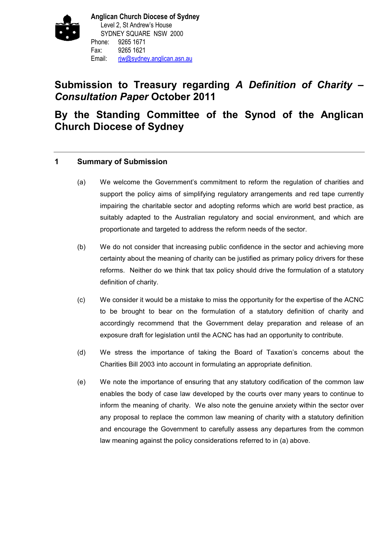

# **Submission to Treasury regarding** *A Definition of Charity – Consultation Paper* **October 2011**

# **By the Standing Committee of the Synod of the Anglican Church Diocese of Sydney**

## **1 Summary of Submission**

- (a) We welcome the Government's commitment to reform the regulation of charities and support the policy aims of simplifying regulatory arrangements and red tape currently impairing the charitable sector and adopting reforms which are world best practice, as suitably adapted to the Australian regulatory and social environment, and which are proportionate and targeted to address the reform needs of the sector.
- (b) We do not consider that increasing public confidence in the sector and achieving more certainty about the meaning of charity can be justified as primary policy drivers for these reforms. Neither do we think that tax policy should drive the formulation of a statutory definition of charity.
- (c) We consider it would be a mistake to miss the opportunity for the expertise of the ACNC to be brought to bear on the formulation of a statutory definition of charity and accordingly recommend that the Government delay preparation and release of an exposure draft for legislation until the ACNC has had an opportunity to contribute.
- (d) We stress the importance of taking the Board of Taxation's concerns about the Charities Bill 2003 into account in formulating an appropriate definition.
- (e) We note the importance of ensuring that any statutory codification of the common law enables the body of case law developed by the courts over many years to continue to inform the meaning of charity. We also note the genuine anxiety within the sector over any proposal to replace the common law meaning of charity with a statutory definition and encourage the Government to carefully assess any departures from the common law meaning against the policy considerations referred to in (a) above.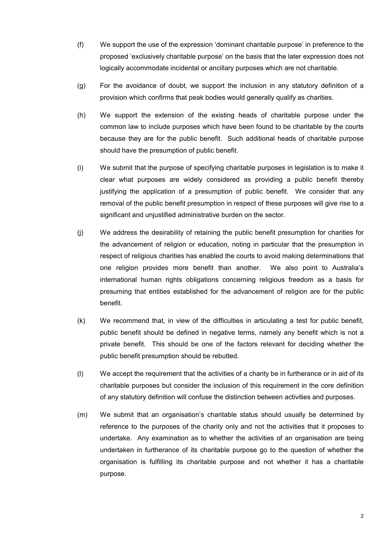- (f) We support the use of the expression 'dominant charitable purpose' in preference to the proposed 'exclusively charitable purpose' on the basis that the later expression does not logically accommodate incidental or ancillary purposes which are not charitable.
- (g) For the avoidance of doubt, we support the inclusion in any statutory definition of a provision which confirms that peak bodies would generally qualify as charities.
- (h) We support the extension of the existing heads of charitable purpose under the common law to include purposes which have been found to be charitable by the courts because they are for the public benefit. Such additional heads of charitable purpose should have the presumption of public benefit.
- (i) We submit that the purpose of specifying charitable purposes in legislation is to make it clear what purposes are widely considered as providing a public benefit thereby justifying the application of a presumption of public benefit. We consider that any removal of the public benefit presumption in respect of these purposes will give rise to a significant and unjustified administrative burden on the sector.
- (j) We address the desirability of retaining the public benefit presumption for charities for the advancement of religion or education, noting in particular that the presumption in respect of religious charities has enabled the courts to avoid making determinations that one religion provides more benefit than another. We also point to Australia's international human rights obligations concerning religious freedom as a basis for presuming that entities established for the advancement of religion are for the public benefit.
- (k) We recommend that, in view of the difficulties in articulating a test for public benefit, public benefit should be defined in negative terms, namely any benefit which is not a private benefit. This should be one of the factors relevant for deciding whether the public benefit presumption should be rebutted.
- (l) We accept the requirement that the activities of a charity be in furtherance or in aid of its charitable purposes but consider the inclusion of this requirement in the core definition of any statutory definition will confuse the distinction between activities and purposes.
- (m) We submit that an organisation's charitable status should usually be determined by reference to the purposes of the charity only and not the activities that it proposes to undertake. Any examination as to whether the activities of an organisation are being undertaken in furtherance of its charitable purpose go to the question of whether the organisation is fulfilling its charitable purpose and not whether it has a charitable purpose.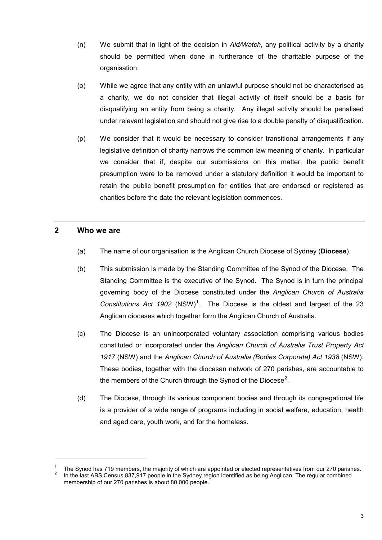- (n) We submit that in light of the decision in *Aid/Watch*, any political activity by a charity should be permitted when done in furtherance of the charitable purpose of the organisation.
- (o) While we agree that any entity with an unlawful purpose should not be characterised as a charity, we do not consider that illegal activity of itself should be a basis for disqualifying an entity from being a charity. Any illegal activity should be penalised under relevant legislation and should not give rise to a double penalty of disqualification.
- (p) We consider that it would be necessary to consider transitional arrangements if any legislative definition of charity narrows the common law meaning of charity. In particular we consider that if, despite our submissions on this matter, the public benefit presumption were to be removed under a statutory definition it would be important to retain the public benefit presumption for entities that are endorsed or registered as charities before the date the relevant legislation commences.

### **2 Who we are**

- (a) The name of our organisation is the Anglican Church Diocese of Sydney (**Diocese**).
- (b) This submission is made by the Standing Committee of the Synod of the Diocese. The Standing Committee is the executive of the Synod. The Synod is in turn the principal governing body of the Diocese constituted under the *Anglican Church of Australia*  Constitutions Act [1](#page-2-0)902 (NSW)<sup>1</sup>. The Diocese is the oldest and largest of the 23 Anglican dioceses which together form the Anglican Church of Australia.
- (c) The Diocese is an unincorporated voluntary association comprising various bodies constituted or incorporated under the *Anglican Church of Australia Trust Property Act 1917* (NSW) and the *Anglican Church of Australia (Bodies Corporate) Act 1938* (NSW). These bodies, together with the diocesan network of 270 parishes, are accountable to the members of the Church through the Synod of the Diocese<sup>[2](#page-2-1)</sup>.
- (d) The Diocese, through its various component bodies and through its congregational life is a provider of a wide range of programs including in social welfare, education, health and aged care, youth work, and for the homeless.

<span id="page-2-1"></span><span id="page-2-0"></span>The Synod has 719 members, the majority of which are appointed or elected representatives from our 270 parishes.<br>In the last ABS Census 837,917 people in the Sydney region identified as being Anglican. The regular combined membership of our 270 parishes is about 80,000 people.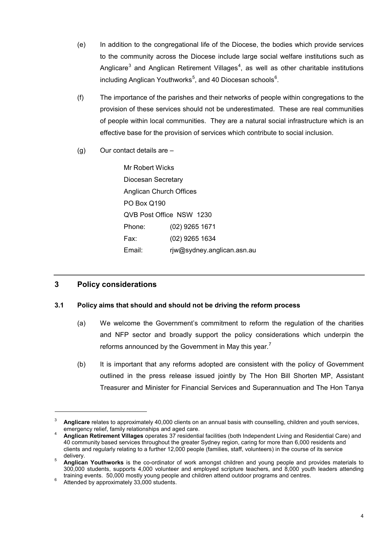- (e) In addition to the congregational life of the Diocese, the bodies which provide services to the community across the Diocese include large social welfare institutions such as Anglicare<sup>[3](#page-3-0)</sup> and Anglican Retirement Villages<sup>[4](#page-3-1)</sup>, as well as other charitable institutions including Anglican Youthworks $^5$  $^5$ , and 40 Diocesan schools $^6$  $^6$ .
- (f) The importance of the parishes and their networks of people within congregations to the provision of these services should not be underestimated. These are real communities of people within local communities. They are a natural social infrastructure which is an effective base for the provision of services which contribute to social inclusion.
- (g) Our contact details are –

Mr Robert Wicks Diocesan Secretary Anglican Church Offices PO Box Q190 QVB Post Office NSW 1230 Phone: (02) 9265 1671 Fax: (02) 9265 1634 Email: rjw@sydney.anglican.asn.au

# **3 Policy considerations**

## **3.1 Policy aims that should and should not be driving the reform process**

- (a) We welcome the Government's commitment to reform the regulation of the charities and NFP sector and broadly support the policy considerations which underpin the reforms announced by the Government in May this year.<sup>[7](#page-3-4)</sup>
- (b) It is important that any reforms adopted are consistent with the policy of Government outlined in the press release issued jointly by The Hon Bill Shorten MP, Assistant Treasurer and Minister for Financial Services and Superannuation and The Hon Tanya

<span id="page-3-0"></span>Anglicare relates to approximately 40,000 clients on an annual basis with counselling, children and youth services,<br>emergency relief, family relationships and aged care.

<span id="page-3-1"></span>Anglican Retirement Villages operates 37 residential facilities (both Independent Living and Residential Care) and 40 community based services throughout the greater Sydney region, caring for more than 6,000 residents and clients and regularly relating to a further 12,000 people (families, staff, volunteers) in the course of its service

<span id="page-3-2"></span><sup>&</sup>lt;sup>5</sup> **Anglican Youthworks** is the co-ordinator of work amongst children and young people and provides materials to 300,000 students, supports 4,000 volunteer and employed scripture teachers, and 8,000 youth leaders attending training events. 50,000 mostly young people and children attend outdoor programs and centres.<br><sup>6</sup> Attended by approximately 33,000 students.

<span id="page-3-4"></span><span id="page-3-3"></span>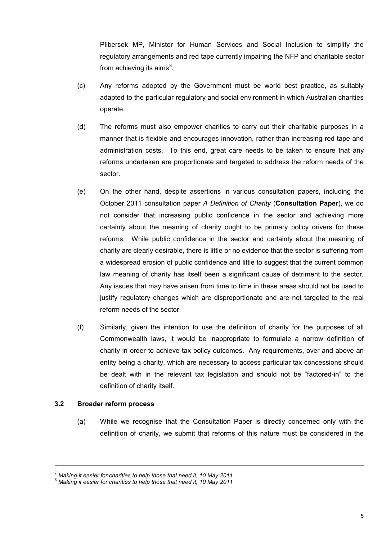Plibersek MP, Minister for Human Services and Social Inclusion to simplify the regulatory arrangements and red tape currently impairing the NFP and charitable sector from achieving its aims $^8$  $^8$ .

- (c) Any reforms adopted by the Government must be world best practice, as suitably adapted to the particular regulatory and social environment in which Australian charities operate.
- (d) The reforms must also empower charities to carry out their charitable purposes in a manner that is flexible and encourages innovation, rather than increasing red tape and administration costs. To this end, great care needs to be taken to ensure that any reforms undertaken are proportionate and targeted to address the reform needs of the sector.
- (e) On the other hand, despite assertions in various consultation papers, including the October 2011 consultation paper *A Definition of Charity* (**Consultation Paper**), we do not consider that increasing public confidence in the sector and achieving more certainty about the meaning of charity ought to be primary policy drivers for these reforms. While public confidence in the sector and certainty about the meaning of charity are clearly desirable, there is little or no evidence that the sector is suffering from a widespread erosion of public confidence and little to suggest that the current common law meaning of charity has itself been a significant cause of detriment to the sector. Any issues that may have arisen from time to time in these areas should not be used to justify regulatory changes which are disproportionate and are not targeted to the real reform needs of the sector.
- (f) Similarly, given the intention to use the definition of charity for the purposes of all Commonwealth laws, it would be inappropriate to formulate a narrow definition of charity in order to achieve tax policy outcomes. Any requirements, over and above an entity being a charity, which are necessary to access particular tax concessions should be dealt with in the relevant tax legislation and should not be "factored-in" to the definition of charity itself.

### **3.2 Broader reform process**

-

(a) While we recognise that the Consultation Paper is directly concerned only with the definition of charity, we submit that reforms of this nature must be considered in the

<span id="page-4-0"></span>

<sup>&</sup>lt;sup>7</sup> Making it easier for charities to help those that need it, 10 May 2011<br><sup>8</sup> Making it easier for charities to help those that need it, 10 May 2011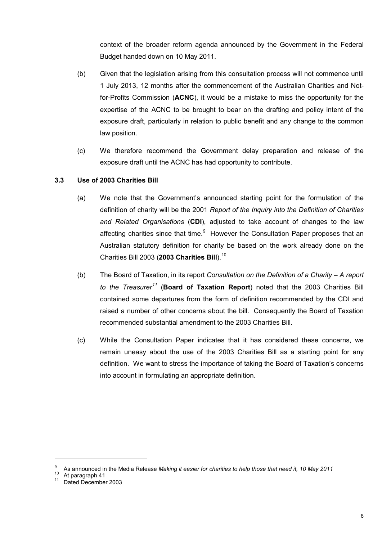context of the broader reform agenda announced by the Government in the Federal Budget handed down on 10 May 2011.

- (b) Given that the legislation arising from this consultation process will not commence until 1 July 2013, 12 months after the commencement of the Australian Charities and Notfor-Profits Commission (**ACNC**), it would be a mistake to miss the opportunity for the expertise of the ACNC to be brought to bear on the drafting and policy intent of the exposure draft, particularly in relation to public benefit and any change to the common law position.
- (c) We therefore recommend the Government delay preparation and release of the exposure draft until the ACNC has had opportunity to contribute.

## **3.3 Use of 2003 Charities Bill**

- (a) We note that the Government's announced starting point for the formulation of the definition of charity will be the 2001 *Report of the Inquiry into the Definition of Charities and Related Organisations* (**CDI**), adjusted to take account of changes to the law affecting charities since that time.<sup>[9](#page-5-0)</sup> However the Consultation Paper proposes that an Australian statutory definition for charity be based on the work already done on the Charities Bill 2003 (**2003 Charities Bill**).[10](#page-5-1)
- (b) The Board of Taxation, in its report *Consultation on the Definition of a Charity – A report to the Treasurer[11](#page-5-2)* (**Board of Taxation Report**) noted that the 2003 Charities Bill contained some departures from the form of definition recommended by the CDI and raised a number of other concerns about the bill. Consequently the Board of Taxation recommended substantial amendment to the 2003 Charities Bill.
- (c) While the Consultation Paper indicates that it has considered these concerns, we remain uneasy about the use of the 2003 Charities Bill as a starting point for any definition. We want to stress the importance of taking the Board of Taxation's concerns into account in formulating an appropriate definition.

<span id="page-5-1"></span><span id="page-5-0"></span><sup>&</sup>lt;sup>9</sup> As announced in the Media Release *Making it easier for charities to help those that need it, 10 May 2011*<br><sup>10</sup> At paragraph 41<br><sup>11</sup> Dated December 2003

<span id="page-5-2"></span>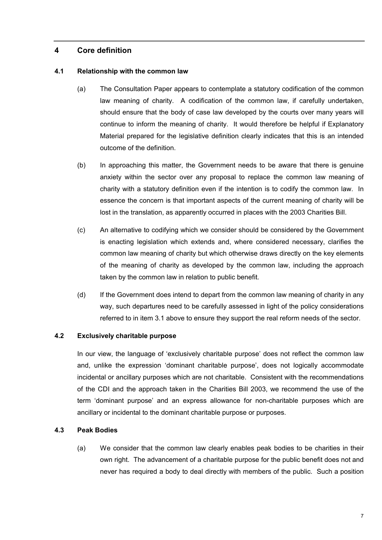### **4 Core definition**

### **4.1 Relationship with the common law**

- (a) The Consultation Paper appears to contemplate a statutory codification of the common law meaning of charity. A codification of the common law, if carefully undertaken, should ensure that the body of case law developed by the courts over many years will continue to inform the meaning of charity. It would therefore be helpful if Explanatory Material prepared for the legislative definition clearly indicates that this is an intended outcome of the definition.
- (b) In approaching this matter, the Government needs to be aware that there is genuine anxiety within the sector over any proposal to replace the common law meaning of charity with a statutory definition even if the intention is to codify the common law. In essence the concern is that important aspects of the current meaning of charity will be lost in the translation, as apparently occurred in places with the 2003 Charities Bill.
- (c) An alternative to codifying which we consider should be considered by the Government is enacting legislation which extends and, where considered necessary, clarifies the common law meaning of charity but which otherwise draws directly on the key elements of the meaning of charity as developed by the common law, including the approach taken by the common law in relation to public benefit.
- (d) If the Government does intend to depart from the common law meaning of charity in any way, such departures need to be carefully assessed in light of the policy considerations referred to in item 3.1 above to ensure they support the real reform needs of the sector.

### **4.2 Exclusively charitable purpose**

In our view, the language of 'exclusively charitable purpose' does not reflect the common law and, unlike the expression 'dominant charitable purpose', does not logically accommodate incidental or ancillary purposes which are not charitable. Consistent with the recommendations of the CDI and the approach taken in the Charities Bill 2003, we recommend the use of the term 'dominant purpose' and an express allowance for non-charitable purposes which are ancillary or incidental to the dominant charitable purpose or purposes.

#### **4.3 Peak Bodies**

(a) We consider that the common law clearly enables peak bodies to be charities in their own right. The advancement of a charitable purpose for the public benefit does not and never has required a body to deal directly with members of the public. Such a position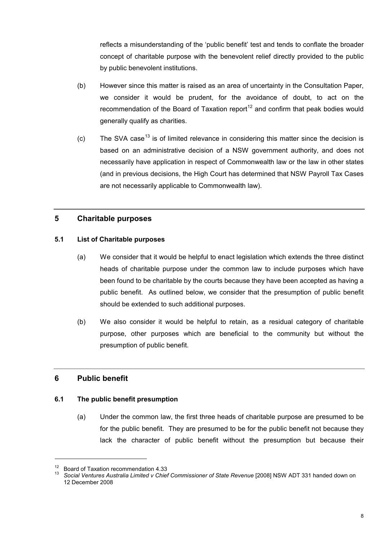reflects a misunderstanding of the 'public benefit' test and tends to conflate the broader concept of charitable purpose with the benevolent relief directly provided to the public by public benevolent institutions.

- (b) However since this matter is raised as an area of uncertainty in the Consultation Paper, we consider it would be prudent, for the avoidance of doubt, to act on the recommendation of the Board of Taxation report<sup>[12](#page-7-0)</sup> and confirm that peak bodies would generally qualify as charities.
- (c) The SVA case<sup>[13](#page-7-1)</sup> is of limited relevance in considering this matter since the decision is based on an administrative decision of a NSW government authority, and does not necessarily have application in respect of Commonwealth law or the law in other states (and in previous decisions, the High Court has determined that NSW Payroll Tax Cases are not necessarily applicable to Commonwealth law).

## **5 Charitable purposes**

### **5.1 List of Charitable purposes**

- (a) We consider that it would be helpful to enact legislation which extends the three distinct heads of charitable purpose under the common law to include purposes which have been found to be charitable by the courts because they have been accepted as having a public benefit. As outlined below, we consider that the presumption of public benefit should be extended to such additional purposes.
- (b) We also consider it would be helpful to retain, as a residual category of charitable purpose, other purposes which are beneficial to the community but without the presumption of public benefit.

### **6 Public benefit**

-

### **6.1 The public benefit presumption**

(a) Under the common law, the first three heads of charitable purpose are presumed to be for the public benefit. They are presumed to be for the public benefit not because they lack the character of public benefit without the presumption but because their

<span id="page-7-1"></span><span id="page-7-0"></span><sup>&</sup>lt;sup>12</sup> Board of Taxation recommendation 4.33<br><sup>13</sup> Social Ventures Australia Limited v Chief Commissioner of State Revenue [2008] NSW ADT 331 handed down on 12 December 2008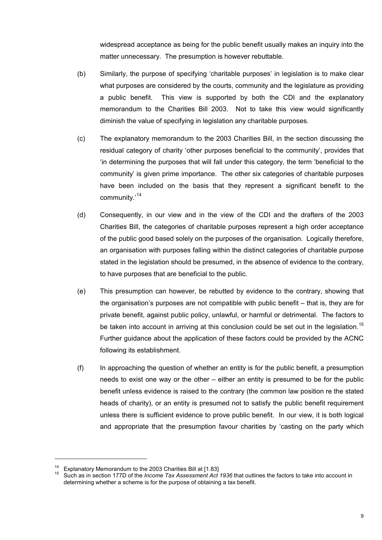widespread acceptance as being for the public benefit usually makes an inquiry into the matter unnecessary. The presumption is however rebuttable.

- (b) Similarly, the purpose of specifying 'charitable purposes' in legislation is to make clear what purposes are considered by the courts, community and the legislature as providing a public benefit. This view is supported by both the CDI and the explanatory memorandum to the Charities Bill 2003. Not to take this view would significantly diminish the value of specifying in legislation any charitable purposes.
- (c) The explanatory memorandum to the 2003 Charities Bill, in the section discussing the residual category of charity 'other purposes beneficial to the community', provides that 'in determining the purposes that will fall under this category, the term 'beneficial to the community' is given prime importance. The other six categories of charitable purposes have been included on the basis that they represent a significant benefit to the community.'[14](#page-8-0)
- (d) Consequently, in our view and in the view of the CDI and the drafters of the 2003 Charities Bill, the categories of charitable purposes represent a high order acceptance of the public good based solely on the purposes of the organisation. Logically therefore, an organisation with purposes falling within the distinct categories of charitable purpose stated in the legislation should be presumed, in the absence of evidence to the contrary, to have purposes that are beneficial to the public.
- (e) This presumption can however, be rebutted by evidence to the contrary, showing that the organisation's purposes are not compatible with public benefit – that is, they are for private benefit, against public policy, unlawful, or harmful or detrimental. The factors to be taken into account in arriving at this conclusion could be set out in the legislation.<sup>[15](#page-8-1)</sup> Further guidance about the application of these factors could be provided by the ACNC following its establishment.
- (f) In approaching the question of whether an entity is for the public benefit, a presumption needs to exist one way or the other – either an entity is presumed to be for the public benefit unless evidence is raised to the contrary (the common law position re the stated heads of charity), or an entity is presumed not to satisfy the public benefit requirement unless there is sufficient evidence to prove public benefit. In our view, it is both logical and appropriate that the presumption favour charities by 'casting on the party which

<span id="page-8-1"></span><span id="page-8-0"></span>

Explanatory Memorandum to the 2003 Charities Bill at [1.83]<br>Such as in section 177D of the *Income Tax Assessment Act 1936* that outlines the factors to take into account in determining whether a scheme is for the purpose of obtaining a tax benefit.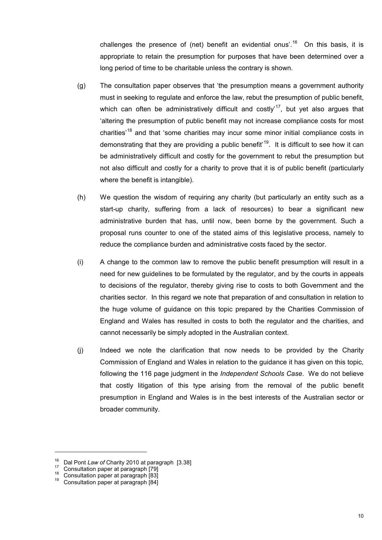challenges the presence of (net) benefit an evidential onus'.<sup>[16](#page-9-0)</sup> On this basis, it is appropriate to retain the presumption for purposes that have been determined over a long period of time to be charitable unless the contrary is shown.

- (g) The consultation paper observes that 'the presumption means a government authority must in seeking to regulate and enforce the law, rebut the presumption of public benefit, which can often be administratively difficult and costly'<sup>[17](#page-9-1)</sup>, but yet also argues that 'altering the presumption of public benefit may not increase compliance costs for most charities<sup>'[18](#page-9-2)</sup> and that 'some charities may incur some minor initial compliance costs in demonstrating that they are providing a public benefit<sup>[19](#page-9-3)</sup>. It is difficult to see how it can be administratively difficult and costly for the government to rebut the presumption but not also difficult and costly for a charity to prove that it is of public benefit (particularly where the benefit is intangible).
- (h) We question the wisdom of requiring any charity (but particularly an entity such as a start-up charity, suffering from a lack of resources) to bear a significant new administrative burden that has, until now, been borne by the government. Such a proposal runs counter to one of the stated aims of this legislative process, namely to reduce the compliance burden and administrative costs faced by the sector.
- (i) A change to the common law to remove the public benefit presumption will result in a need for new guidelines to be formulated by the regulator, and by the courts in appeals to decisions of the regulator, thereby giving rise to costs to both Government and the charities sector. In this regard we note that preparation of and consultation in relation to the huge volume of guidance on this topic prepared by the Charities Commission of England and Wales has resulted in costs to both the regulator and the charities, and cannot necessarily be simply adopted in the Australian context.
- (j) Indeed we note the clarification that now needs to be provided by the Charity Commission of England and Wales in relation to the guidance it has given on this topic, following the 116 page judgment in the *Independent Schools Case*. We do not believe that costly litigation of this type arising from the removal of the public benefit presumption in England and Wales is in the best interests of the Australian sector or broader community.

<span id="page-9-1"></span><span id="page-9-0"></span><sup>&</sup>lt;sup>16</sup> Dal Pont *Law of Charity 2010 at paragraph* [3.38]<br><sup>17</sup> Consultation paper at paragraph [79]<br><sup>18</sup> Consultation paper at paragraph [83]<br>Consultation paper at paragraph [84]

<span id="page-9-3"></span><span id="page-9-2"></span>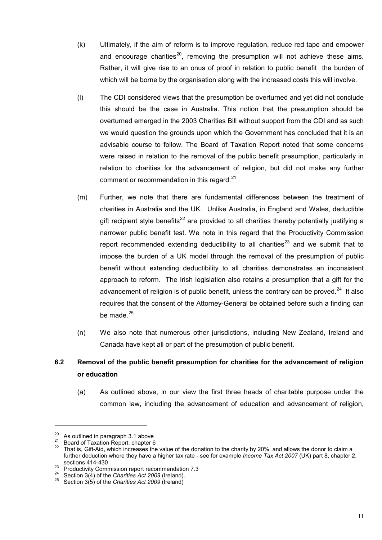- (k) Ultimately, if the aim of reform is to improve regulation, reduce red tape and empower and encourage charities<sup>[20](#page-10-0)</sup>, removing the presumption will not achieve these aims. Rather, it will give rise to an onus of proof in relation to public benefit the burden of which will be borne by the organisation along with the increased costs this will involve.
- (l) The CDI considered views that the presumption be overturned and yet did not conclude this should be the case in Australia. This notion that the presumption should be overturned emerged in the 2003 Charities Bill without support from the CDI and as such we would question the grounds upon which the Government has concluded that it is an advisable course to follow. The Board of Taxation Report noted that some concerns were raised in relation to the removal of the public benefit presumption, particularly in relation to charities for the advancement of religion, but did not make any further comment or recommendation in this regard.<sup>[21](#page-10-1)</sup>
- (m) Further, we note that there are fundamental differences between the treatment of charities in Australia and the UK. Unlike Australia, in England and Wales, deductible gift recipient style benefits<sup>[22](#page-10-2)</sup> are provided to all charities thereby potentially justifying a narrower public benefit test. We note in this regard that the Productivity Commission report recommended extending deductibility to all charities<sup>[23](#page-10-3)</sup> and we submit that to impose the burden of a UK model through the removal of the presumption of public benefit without extending deductibility to all charities demonstrates an inconsistent approach to reform. The Irish legislation also retains a presumption that a gift for the advancement of religion is of public benefit, unless the contrary can be proved. $^{24}$  It also requires that the consent of the Attorney-General be obtained before such a finding can be made. $^{25}$  $^{25}$  $^{25}$
- (n) We also note that numerous other jurisdictions, including New Zealand, Ireland and Canada have kept all or part of the presumption of public benefit.

# **6.2 Removal of the public benefit presumption for charities for the advancement of religion or education**

(a) As outlined above, in our view the first three heads of charitable purpose under the common law, including the advancement of education and advancement of religion,

<span id="page-10-2"></span><span id="page-10-1"></span>

<span id="page-10-0"></span><sup>&</sup>lt;sup>20</sup> As outlined in paragraph 3.1 above<br><sup>21</sup> Board of Taxation Report, chapter 6<br><sup>22</sup> That is, Gift-Aid, which increases the value of the donation to the charity by 20%, and allows the donor to claim a further deduction where they have a higher tax rate - see for example *Income Tax Act 2007* (UK) part 8, chapter 2,

<span id="page-10-3"></span><sup>&</sup>lt;sup>23</sup> Productivity Commission report recommendation 7.3<br><sup>24</sup> Section 3(4) of the *Charities Act 2009* (Ireland).<br><sup>25</sup> Section 3(5) of the *Charities Act 2009* (Ireland)

<span id="page-10-4"></span>

<span id="page-10-5"></span>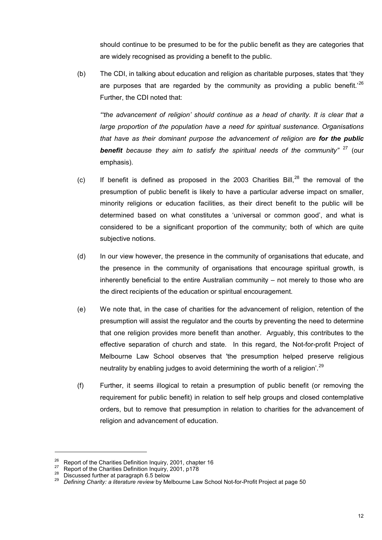should continue to be presumed to be for the public benefit as they are categories that are widely recognised as providing a benefit to the public.

(b) The CDI, in talking about education and religion as charitable purposes, states that 'they are purposes that are regarded by the community as providing a public benefit.<sup>'[26](#page-11-0)</sup> Further, the CDI noted that:

*"'the advancement of religion' should continue as a head of charity. It is clear that a large proportion of the population have a need for spiritual sustenance. Organisations that have as their dominant purpose the advancement of religion are for the public benefit because they aim to satisfy the spiritual needs of the community"* [27](#page-11-1) (our emphasis).

- (c) If benefit is defined as proposed in the 2003 Charities Bill, $^{28}$  $^{28}$  $^{28}$  the removal of the presumption of public benefit is likely to have a particular adverse impact on smaller, minority religions or education facilities, as their direct benefit to the public will be determined based on what constitutes a 'universal or common good', and what is considered to be a significant proportion of the community; both of which are quite subjective notions.
- (d) In our view however, the presence in the community of organisations that educate, and the presence in the community of organisations that encourage spiritual growth, is inherently beneficial to the entire Australian community – not merely to those who are the direct recipients of the education or spiritual encouragement.
- (e) We note that, in the case of charities for the advancement of religion, retention of the presumption will assist the regulator and the courts by preventing the need to determine that one religion provides more benefit than another. Arguably, this contributes to the effective separation of church and state. In this regard, the Not-for-profit Project of Melbourne Law School observes that 'the presumption helped preserve religious neutrality by enabling judges to avoid determining the worth of a religion'.<sup>[29](#page-11-3)</sup>
- (f) Further, it seems illogical to retain a presumption of public benefit (or removing the requirement for public benefit) in relation to self help groups and closed contemplative orders, but to remove that presumption in relation to charities for the advancement of religion and advancement of education.

<span id="page-11-3"></span><span id="page-11-2"></span>

<span id="page-11-1"></span><span id="page-11-0"></span><sup>&</sup>lt;sup>26</sup> Report of the Charities Definition Inquiry, 2001, chapter 16<br><sup>27</sup> Report of the Charities Definition Inquiry, 2001, p178<br><sup>28</sup> Discussed further at paragraph 6.5 below<br>*Defining Charity: a literature review* by Melbou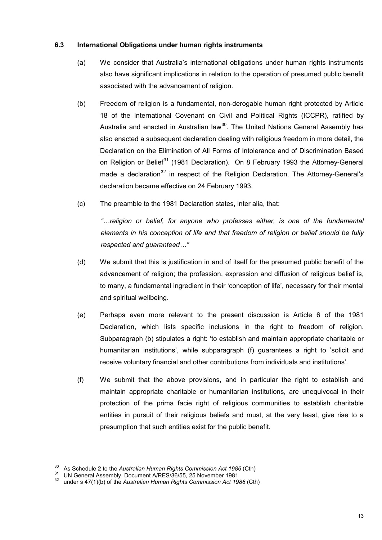### **6.3 International Obligations under human rights instruments**

- (a) We consider that Australia's international obligations under human rights instruments also have significant implications in relation to the operation of presumed public benefit associated with the advancement of religion.
- (b) Freedom of religion is a fundamental, non-derogable human right protected by Article 18 of the International Covenant on Civil and Political Rights (ICCPR), ratified by Australia and enacted in Australian law<sup>[30](#page-12-0)</sup>. The United Nations General Assembly has also enacted a subsequent declaration dealing with religious freedom in more detail, the Declaration on the Elimination of All Forms of Intolerance and of Discrimination Based on Religion or Belief<sup>[31](#page-12-1)</sup> (1981 Declaration). On 8 February 1993 the Attorney-General made a declaration<sup>[32](#page-12-2)</sup> in respect of the Religion Declaration. The Attorney-General's declaration became effective on 24 February 1993.
- (c) The preamble to the 1981 Declaration states, inter alia, that:

*"…religion or belief, for anyone who professes either, is one of the fundamental elements in his conception of life and that freedom of religion or belief should be fully respected and guaranteed…"*

- (d) We submit that this is justification in and of itself for the presumed public benefit of the advancement of religion; the profession, expression and diffusion of religious belief is, to many, a fundamental ingredient in their 'conception of life', necessary for their mental and spiritual wellbeing.
- (e) Perhaps even more relevant to the present discussion is Article 6 of the 1981 Declaration, which lists specific inclusions in the right to freedom of religion. Subparagraph (b) stipulates a right: 'to establish and maintain appropriate charitable or humanitarian institutions', while subparagraph (f) guarantees a right to 'solicit and receive voluntary financial and other contributions from individuals and institutions'.
- (f) We submit that the above provisions, and in particular the right to establish and maintain appropriate charitable or humanitarian institutions, are unequivocal in their protection of the prima facie right of religious communities to establish charitable entities in pursuit of their religious beliefs and must, at the very least, give rise to a presumption that such entities exist for the public benefit.

<span id="page-12-2"></span><span id="page-12-1"></span>

<span id="page-12-0"></span><sup>&</sup>lt;sup>30</sup> As Schedule 2 to the *Australian Human Rights Commission Act 1986* (Cth)<br><sup>31</sup> UN General Assembly, Document A/RES/36/55, 25 November 1981<br><sup>32</sup> under s 47(1)(b) of the *Australian Human Rights Commission Act 1986* (Ct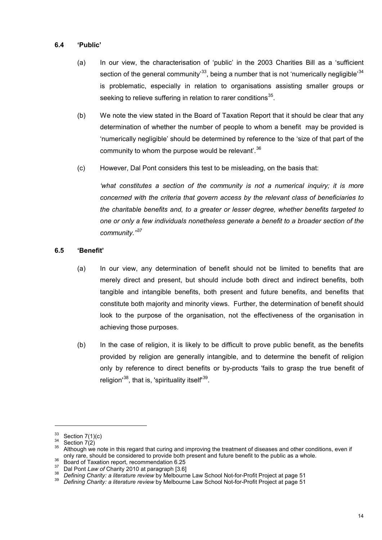#### **6.4 'Public'**

- (a) In our view, the characterisation of 'public' in the 2003 Charities Bill as a 'sufficient section of the general community<sup>33</sup>, being a number that is not 'numerically negligible<sup>[34](#page-13-1)</sup> is problematic, especially in relation to organisations assisting smaller groups or seeking to relieve suffering in relation to rarer conditions<sup>[35](#page-13-2)</sup>.
- (b) We note the view stated in the Board of Taxation Report that it should be clear that any determination of whether the number of people to whom a benefit may be provided is 'numerically negligible' should be determined by reference to the 'size of that part of the community to whom the purpose would be relevant'. [36](#page-13-3)
- (c) However, Dal Pont considers this test to be misleading, on the basis that:

'what constitutes a section of the community is not a numerical inquiry; it is more *concerned with the criteria that govern access by the relevant class of beneficiaries to the charitable benefits and, to a greater or lesser degree, whether benefits targeted to one or only a few individuals nonetheless generate a benefit to a broader section of the community.''* [37](#page-13-4)

### **6.5 'Benefit'**

- (a) In our view, any determination of benefit should not be limited to benefits that are merely direct and present, but should include both direct and indirect benefits, both tangible and intangible benefits, both present and future benefits, and benefits that constitute both majority and minority views. Further, the determination of benefit should look to the purpose of the organisation, not the effectiveness of the organisation in achieving those purposes.
- (b) In the case of religion, it is likely to be difficult to prove public benefit, as the benefits provided by religion are generally intangible, and to determine the benefit of religion only by reference to direct benefits or by-products 'fails to grasp the true benefit of religion'<sup>[38](#page-13-5)</sup>, that is, 'spirituality itself<sup>'[39](#page-13-6)</sup>.

<span id="page-13-0"></span> $33 \atop{34}$  Section 7(1)(c)<br>Section 7(2)

<span id="page-13-2"></span><span id="page-13-1"></span> $35$  Although we note in this regard that curing and improving the treatment of diseases and other conditions, even if only rare, should be considered to provide both present and future benefit to the public as a whole.

<span id="page-13-4"></span>

<span id="page-13-3"></span><sup>&</sup>lt;sup>36</sup> Board of Taxation report, recommendation 6.25<br><sup>37</sup> Dal Pont Law of Charity 2010 at paragraph [3.6]<br><sup>38</sup> Defining Charity: a literature review by Melbourne Law School Not-for-Profit Project at page 51<br>*befining Charity* 

<span id="page-13-6"></span><span id="page-13-5"></span>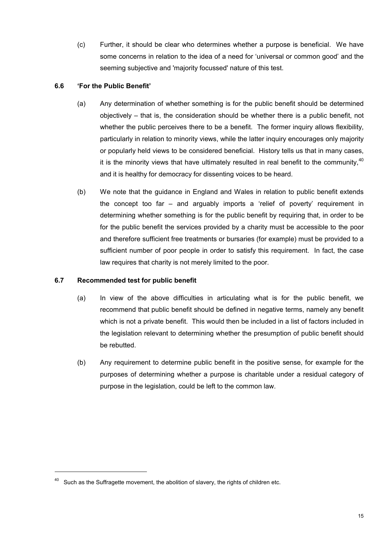(c) Further, it should be clear who determines whether a purpose is beneficial. We have some concerns in relation to the idea of a need for 'universal or common good' and the seeming subjective and 'majority focussed' nature of this test.

### **6.6 'For the Public Benefit'**

- (a) Any determination of whether something is for the public benefit should be determined objectively – that is, the consideration should be whether there is a public benefit, not whether the public perceives there to be a benefit. The former inquiry allows flexibility, particularly in relation to minority views, while the latter inquiry encourages only majority or popularly held views to be considered beneficial. History tells us that in many cases, it is the minority views that have ultimately resulted in real benefit to the community,  $40$ and it is healthy for democracy for dissenting voices to be heard.
- (b) We note that the guidance in England and Wales in relation to public benefit extends the concept too far – and arguably imports a 'relief of poverty' requirement in determining whether something is for the public benefit by requiring that, in order to be for the public benefit the services provided by a charity must be accessible to the poor and therefore sufficient free treatments or bursaries (for example) must be provided to a sufficient number of poor people in order to satisfy this requirement. In fact, the case law requires that charity is not merely limited to the poor.

## **6.7 Recommended test for public benefit**

- (a) In view of the above difficulties in articulating what is for the public benefit, we recommend that public benefit should be defined in negative terms, namely any benefit which is not a private benefit. This would then be included in a list of factors included in the legislation relevant to determining whether the presumption of public benefit should be rebutted.
- (b) Any requirement to determine public benefit in the positive sense, for example for the purposes of determining whether a purpose is charitable under a residual category of purpose in the legislation, could be left to the common law.

<span id="page-14-0"></span> $40$  Such as the Suffragette movement, the abolition of slavery, the rights of children etc.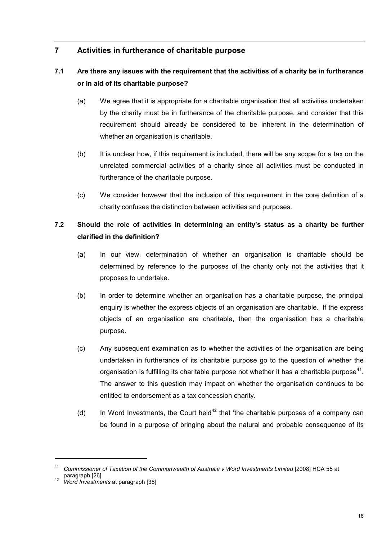# **7 Activities in furtherance of charitable purpose**

# **7.1 Are there any issues with the requirement that the activities of a charity be in furtherance or in aid of its charitable purpose?**

- (a) We agree that it is appropriate for a charitable organisation that all activities undertaken by the charity must be in furtherance of the charitable purpose, and consider that this requirement should already be considered to be inherent in the determination of whether an organisation is charitable.
- (b) It is unclear how, if this requirement is included, there will be any scope for a tax on the unrelated commercial activities of a charity since all activities must be conducted in furtherance of the charitable purpose.
- (c) We consider however that the inclusion of this requirement in the core definition of a charity confuses the distinction between activities and purposes.

# **7.2 Should the role of activities in determining an entity's status as a charity be further clarified in the definition?**

- (a) In our view, determination of whether an organisation is charitable should be determined by reference to the purposes of the charity only not the activities that it proposes to undertake.
- (b) In order to determine whether an organisation has a charitable purpose, the principal enquiry is whether the express objects of an organisation are charitable. If the express objects of an organisation are charitable, then the organisation has a charitable purpose.
- (c) Any subsequent examination as to whether the activities of the organisation are being undertaken in furtherance of its charitable purpose go to the question of whether the organisation is fulfilling its charitable purpose not whether it has a charitable purpose<sup>[41](#page-15-0)</sup>. The answer to this question may impact on whether the organisation continues to be entitled to endorsement as a tax concession charity.
- (d) In Word Investments, the Court held<sup>[42](#page-15-1)</sup> that 'the charitable purposes of a company can be found in a purpose of bringing about the natural and probable consequence of its

<span id="page-15-0"></span><sup>41</sup> *Commissioner of Taxation of the Commonwealth of Australia v Word Investments Limited* [2008] HCA 55 at paragraph [26]

<span id="page-15-1"></span><sup>42</sup> *Word Investments* at paragraph [38]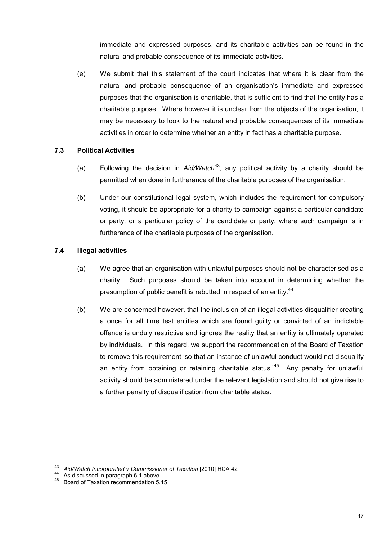immediate and expressed purposes, and its charitable activities can be found in the natural and probable consequence of its immediate activities.'

(e) We submit that this statement of the court indicates that where it is clear from the natural and probable consequence of an organisation's immediate and expressed purposes that the organisation is charitable, that is sufficient to find that the entity has a charitable purpose. Where however it is unclear from the objects of the organisation, it may be necessary to look to the natural and probable consequences of its immediate activities in order to determine whether an entity in fact has a charitable purpose.

### **7.3 Political Activities**

- (a) Following the decision in *Aid/Watch*<sup>[43](#page-16-0)</sup>, any political activity by a charity should be permitted when done in furtherance of the charitable purposes of the organisation.
- (b) Under our constitutional legal system, which includes the requirement for compulsory voting, it should be appropriate for a charity to campaign against a particular candidate or party, or a particular policy of the candidate or party, where such campaign is in furtherance of the charitable purposes of the organisation.

### **7.4 Illegal activities**

- (a) We agree that an organisation with unlawful purposes should not be characterised as a charity. Such purposes should be taken into account in determining whether the presumption of public benefit is rebutted in respect of an entity.<sup>[44](#page-16-1)</sup>
- (b) We are concerned however, that the inclusion of an illegal activities disqualifier creating a once for all time test entities which are found guilty or convicted of an indictable offence is unduly restrictive and ignores the reality that an entity is ultimately operated by individuals. In this regard, we support the recommendation of the Board of Taxation to remove this requirement 'so that an instance of unlawful conduct would not disqualify an entity from obtaining or retaining charitable status.<sup>[45](#page-16-2)</sup> Any penalty for unlawful activity should be administered under the relevant legislation and should not give rise to a further penalty of disqualification from charitable status.

<span id="page-16-0"></span><sup>43</sup> *Aid/Watch Incorporated v Commissioner of Taxation* [2010] HCA 42<br>44 As discussed in paragraph 6.1 above.

<span id="page-16-2"></span><span id="page-16-1"></span><sup>45</sup> Board of Taxation recommendation 5.15